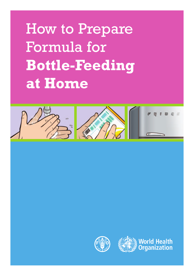# How to Prepare Formula for **Bottle-Feeding at Home**





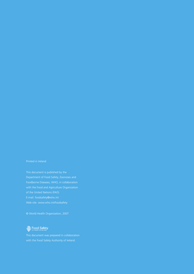#### Printed in Ireland

E-mail: foodsafety@who.int

© World Health Organization, 2007

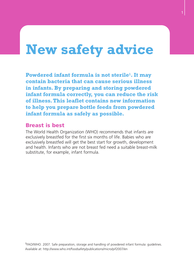## **New safety advice**

**Powdered infant formula is not sterile1. It may contain bacteria that can cause serious illness in infants. By preparing and storing powdered infant formula correctly, you can reduce the risk of illness. This leaflet contains new information to help you prepare bottle feeds from powdered infant formula as safely as possible.**

### **Breast is best**

The World Health Organization (WHO) recommends that infants are exclusively breastfed for the first six months of life. Babies who are exclusively breastfed will get the best start for growth, development and health. Infants who are not breast fed need a suitable breast-milk substitute, for example, infant formula.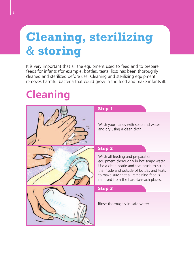## **Cleaning, sterilizing**  & **storing**

It is very important that all the equipment used to feed and to prepare feeds for infants (for example, bottles, teats, lids) has been thoroughly cleaned and sterilized before use. Cleaning and sterilizing equipment removes harmful bacteria that could grow in the feed and make infants ill.

## **Cleaning**

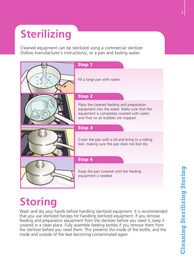## **Sterilizing**

Cleaned equipment can be sterilized using a commercial sterilizer (follow manufacturer's instructions), or a pan and boiling water:



## **Storing**

Wash and dry your hands before handling sterilized equipment. It is recommended that you use sterilized forceps for handling sterilized equipment. If you remove feeding and preparation equipment from the sterilizer before you need it, keep it covered in a clean place. Fully assemble feeding bottles if you remove them from the sterilizer before you need them. This prevents the inside of the bottle, and the inside and outside of the teat becoming contaminated again.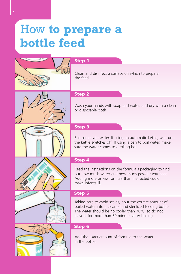## How **to prepare a bottle feed**



#### **Step 1**

Clean and disinfect a surface on which to prepare the feed.



#### **Step 2**

Wash your hands with soap and water, and dry with a clean or disposable cloth.

### **Step 3**

Boil some safe water. If using an automatic kettle, wait until the kettle switches off. If using a pan to boil water, make sure the water comes to a rolling boil.

### **Step 4**

Read the instructions on the formula's packaging to find out how much water and how much powder you need. Adding more or less formula than instructed could make infants ill.

#### **Step 5**

Taking care to avoid scalds, pour the correct amount of boiled water into a cleaned and sterilized feeding bottle. The water should be no cooler than 70ºC, so do not leave it for more than 30 minutes after boiling.

#### **Step 6**

Add the exact amount of formula to the water in the bottle.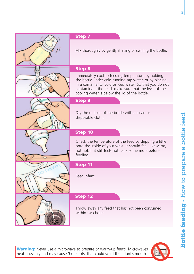



### **Step 7**

Mix thoroughly by gently shaking or swirling the bottle.

### **Step 8**

Immediately cool to feeding temperature by holding the bottle under cold running tap water, or by placing in a container of cold or iced water. So that you do not contaminate the feed, make sure that the level of the cooling water is below the lid of the bottle.

### **Step 9**

Dry the outside of the bottle with a clean or disposable cloth.

### **Step 10**

Check the temperature of the feed by dripping a little onto the inside of your wrist. It should feel lukewarm, not hot. If it still feels hot, cool some more before feeding.

### **Step 11**

Feed infant.

### **Step 12**

Throw away any feed that has not been consumed within two hours.

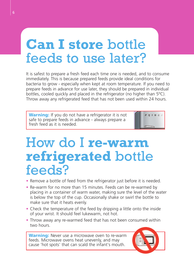## **Can I store** bottle feeds to use later?

It is safest to prepare a fresh feed each time one is needed, and to consume immediately. This is because prepared feeds provide ideal conditions for bacteria to grow - especially when kept at room temperature. If you need to prepare feeds in advance for use later, they should be prepared in individual bottles, cooled quickly and placed in the refrigerator (no higher than 5ºC). Throw away any refrigerated feed that has not been used within 24 hours.

**Warning:** If you do not have a refrigerator it is not safe to prepare feeds in advance - always prepare a fresh feed as it is needed.

## How do I **re-warm refrigerated** bottle feeds?

- Remove a bottle of feed from the refrigerator just before it is needed.
- Re-warm for no more than 15 minutes. Feeds can be re-warmed by placing in a container of warm water, making sure the level of the water is below the top of the cup. Occasionally shake or swirl the bottle to make sure that it heats evenly.
- Check the temperature of the feed by dripping a little onto the inside of your wrist. It should feel lukewarm, not hot.
- Throw away any re-warmed feed that has not been consumed within two hours.

**Warning:** Never use a microwave oven to re-warm feeds. Microwave ovens heat unevenly, and may cause 'hot spots' that can scald the infant's mouth.



 $\overline{v}$   $\overline{v}$   $\overline{w}$   $\overline{w}$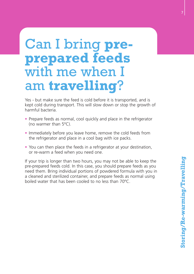## Can I bring **preprepared feeds** with me when I am **travelling**?

Yes - but make sure the feed is cold before it is transported, and is kept cold during transport. This will slow down or stop the growth of harmful bacteria.

- Prepare feeds as normal, cool quickly and place in the refrigerator (no warmer than 5ºC).
- Immediately before you leave home, remove the cold feeds from the refrigerator and place in a cool bag with ice packs.
- You can then place the feeds in a refrigerator at your destination, or re-warm a feed when you need one.

If your trip is longer than two hours, you may not be able to keep the pre-prepared feeds cold. In this case, you should prepare feeds as you need them. Bring individual portions of powdered formula with you in a cleaned and sterilized container, and prepare feeds as normal using boiled water that has been cooled to no less than 70ºC.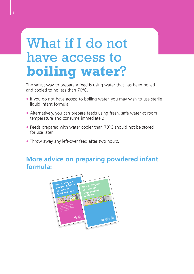## What if I do not have access to **boiling water**?

The safest way to prepare a feed is using water that has been boiled and cooled to no less than 70ºC.

- If you do not have access to boiling water, you may wish to use sterile liquid infant formula.
- Alternatively, you can prepare feeds using fresh, safe water at room temperature and consume immediately.
- Feeds prepared with water cooler than 70ºC should not be stored for use later.
- Throw away any left-over feed after two hours.

### **More advice on preparing powdered infant formula:**